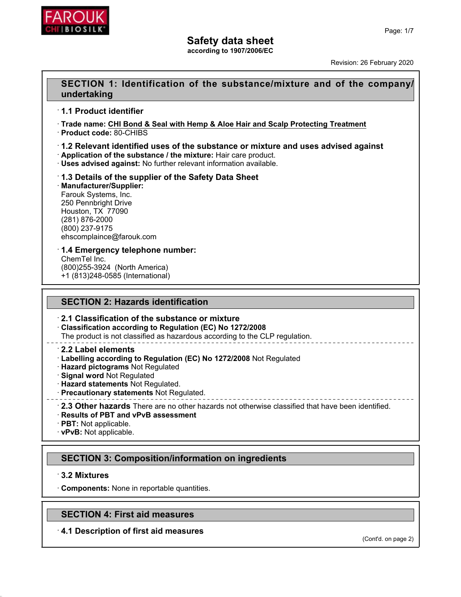

**according to 1907/2006/EC**

Revision: 26 February 2020

## **SECTION 1: Identification of the substance/mixture and of the company/ undertaking**

### ꞏ **1.1 Product identifier**

ꞏ **Trade name: CHI Bond & Seal with Hemp & Aloe Hair and Scalp Protecting Treatment**

ꞏ **Product code:** 80-CHIBS

#### ꞏ **1.2 Relevant identified uses of the substance or mixture and uses advised against** ꞏ **Application of the substance / the mixture:** Hair care product.

ꞏ **Uses advised against:** No further relevant information available.

#### ꞏ **1.3 Details of the supplier of the Safety Data Sheet** ꞏ **Manufacturer/Supplier:** Farouk Systems, Inc. 250 Pennbright Drive Houston, TX 77090 (281) 876-2000 (800) 237-9175 ehscomplaince@farouk.com

#### ꞏ **1.4 Emergency telephone number:**

ChemTel Inc. (800)255-3924 (North America) +1 (813)248-0585 (International)

## **SECTION 2: Hazards identification**

#### ꞏ **2.1 Classification of the substance or mixture**

ꞏ **Classification according to Regulation (EC) No 1272/2008** The product is not classified as hazardous according to the CLP regulation.

#### ꞏ **2.2 Label elements**

- ꞏ **Labelling according to Regulation (EC) No 1272/2008** Not Regulated
- ꞏ **Hazard pictograms** Not Regulated
- ꞏ **Signal word** Not Regulated
- ꞏ **Hazard statements** Not Regulated.
- ꞏ **Precautionary statements** Not Regulated.
- 
- ꞏ **2.3 Other hazards** There are no other hazards not otherwise classified that have been identified. ꞏ **Results of PBT and vPvB assessment**
- ꞏ **PBT:** Not applicable.
- ꞏ **vPvB:** Not applicable.

# **SECTION 3: Composition/information on ingredients**

## ꞏ **3.2 Mixtures**

ꞏ **Components:** None in reportable quantities.

# **SECTION 4: First aid measures**

## ꞏ **4.1 Description of first aid measures**

(Cont'd. on page 2)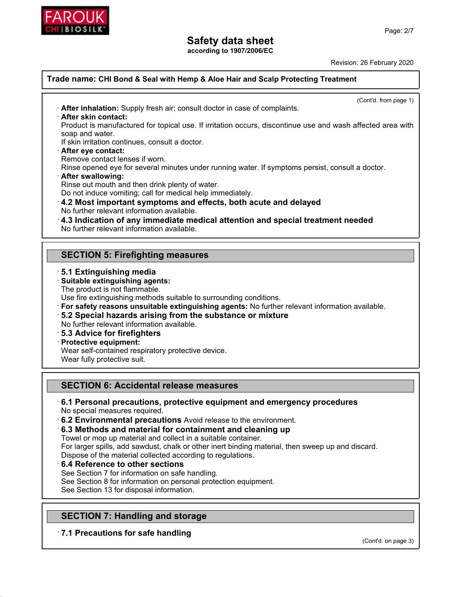

**according to 1907/2006/EC**

Revision: 26 February 2020

(Cont'd. from page 1)

### **Trade name: CHI Bond & Seal with Hemp & Aloe Hair and Scalp Protecting Treatment**

ꞏ **After inhalation:** Supply fresh air; consult doctor in case of complaints.

ꞏ **After skin contact:**

Product is manufactured for topical use. If irritation occurs, discontinue use and wash affected area with soap and water.

If skin irritation continues, consult a doctor.

ꞏ **After eye contact:**

Remove contact lenses if worn.

Rinse opened eye for several minutes under running water. If symptoms persist, consult a doctor.

- ꞏ **After swallowing:**
- Rinse out mouth and then drink plenty of water.

Do not induce vomiting; call for medical help immediately.

- ꞏ **4.2 Most important symptoms and effects, both acute and delayed** No further relevant information available.
- ꞏ **4.3 Indication of any immediate medical attention and special treatment needed** No further relevant information available.

# **SECTION 5: Firefighting measures**

- ꞏ **5.1 Extinguishing media**
- ꞏ **Suitable extinguishing agents:**

The product is not flammable.

Use fire extinguishing methods suitable to surrounding conditions.

- ꞏ **For safety reasons unsuitable extinguishing agents:** No further relevant information available.
- ꞏ **5.2 Special hazards arising from the substance or mixture**

No further relevant information available.

ꞏ **5.3 Advice for firefighters**

## ꞏ **Protective equipment:**

Wear self-contained respiratory protective device.

Wear fully protective suit.

## **SECTION 6: Accidental release measures**

#### ꞏ **6.1 Personal precautions, protective equipment and emergency procedures** No special measures required.

ꞏ **6.2 Environmental precautions** Avoid release to the environment.

ꞏ **6.3 Methods and material for containment and cleaning up**

Towel or mop up material and collect in a suitable container.

For larger spills, add sawdust, chalk or other inert binding material, then sweep up and discard.

Dispose of the material collected according to regulations.

ꞏ **6.4 Reference to other sections**

See Section 7 for information on safe handling.

See Section 8 for information on personal protection equipment.

See Section 13 for disposal information.

# **SECTION 7: Handling and storage**

ꞏ **7.1 Precautions for safe handling**

(Cont'd. on page 3)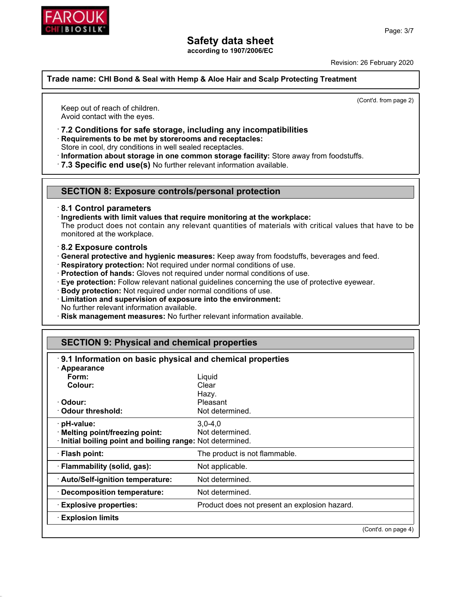

**according to 1907/2006/EC**

Revision: 26 February 2020

**Trade name: CHI Bond & Seal with Hemp & Aloe Hair and Scalp Protecting Treatment**

Keep out of reach of children. Avoid contact with the eyes.

ꞏ **7.2 Conditions for safe storage, including any incompatibilities**

ꞏ **Requirements to be met by storerooms and receptacles:**

Store in cool, dry conditions in well sealed receptacles.

ꞏ **Information about storage in one common storage facility:** Store away from foodstuffs.

ꞏ **7.3 Specific end use(s)** No further relevant information available.

## **SECTION 8: Exposure controls/personal protection**

### ꞏ **8.1 Control parameters**

ꞏ **Ingredients with limit values that require monitoring at the workplace:**

The product does not contain any relevant quantities of materials with critical values that have to be monitored at the workplace.

#### ꞏ **8.2 Exposure controls**

- ꞏ **General protective and hygienic measures:** Keep away from foodstuffs, beverages and feed.
- ꞏ **Respiratory protection:** Not required under normal conditions of use.
- ꞏ **Protection of hands:** Gloves not required under normal conditions of use.
- ꞏ **Eye protection:** Follow relevant national guidelines concerning the use of protective eyewear.
- ꞏ **Body protection:** Not required under normal conditions of use.
- ꞏ **Limitation and supervision of exposure into the environment:** No further relevant information available.
- ꞏ **Risk management measures:** No further relevant information available.

## **SECTION 9: Physical and chemical properties**

| 9.1 Information on basic physical and chemical properties |                                               |                     |
|-----------------------------------------------------------|-----------------------------------------------|---------------------|
| $\cdot$ Appearance                                        |                                               |                     |
| Form:                                                     | Liquid                                        |                     |
| Colour:                                                   | Clear                                         |                     |
|                                                           | Hazy.                                         |                     |
| · Odour:                                                  | Pleasant                                      |                     |
| Odour threshold:                                          | Not determined.                               |                     |
| · pH-value:                                               | $3,0-4,0$                                     |                     |
| · Melting point/freezing point:                           | Not determined.                               |                     |
| Initial boiling point and boiling range: Not determined.  |                                               |                     |
| · Flash point:                                            | The product is not flammable.                 |                     |
| · Flammability (solid, gas):                              | Not applicable.                               |                     |
| · Auto/Self-ignition temperature:                         | Not determined.                               |                     |
| · Decomposition temperature:                              | Not determined.                               |                     |
| <b>Explosive properties:</b>                              | Product does not present an explosion hazard. |                     |
| <b>Explosion limits</b>                                   |                                               |                     |
|                                                           |                                               | (Cont'd. on page 4) |

(Cont'd. from page 2)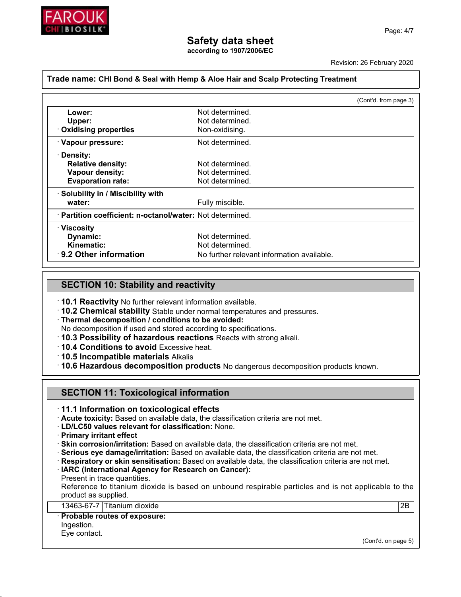

**according to 1907/2006/EC**

Revision: 26 February 2020

#### **Trade name: CHI Bond & Seal with Hemp & Aloe Hair and Scalp Protecting Treatment**

|                                                           |                                            | (Cont'd. from page 3) |
|-----------------------------------------------------------|--------------------------------------------|-----------------------|
| Lower:                                                    | Not determined.                            |                       |
| Upper:                                                    | Not determined.                            |                       |
| · Oxidising properties                                    | Non-oxidising.                             |                       |
| · Vapour pressure:                                        | Not determined.                            |                       |
| · Density:                                                |                                            |                       |
| <b>Relative density:</b>                                  | Not determined.                            |                       |
| <b>Vapour density:</b>                                    | Not determined.                            |                       |
| <b>Evaporation rate:</b>                                  | Not determined.                            |                       |
| · Solubility in / Miscibility with                        |                                            |                       |
| water:                                                    | Fully miscible.                            |                       |
| · Partition coefficient: n-octanol/water: Not determined. |                                            |                       |
| $\cdot$ Viscosity                                         |                                            |                       |
| Dynamic:                                                  | Not determined.                            |                       |
| Kinematic:                                                | Not determined.                            |                       |
| ⋅9.2 Other information                                    | No further relevant information available. |                       |
|                                                           |                                            |                       |

#### **SECTION 10: Stability and reactivity**

ꞏ **10.1 Reactivity** No further relevant information available.

ꞏ **10.2 Chemical stability** Stable under normal temperatures and pressures.

ꞏ **Thermal decomposition / conditions to be avoided:**

No decomposition if used and stored according to specifications.

- ꞏ **10.3 Possibility of hazardous reactions** Reacts with strong alkali.
- ꞏ **10.4 Conditions to avoid** Excessive heat.
- ꞏ **10.5 Incompatible materials** Alkalis

ꞏ **10.6 Hazardous decomposition products** No dangerous decomposition products known.

## **SECTION 11: Toxicological information**

ꞏ **11.1 Information on toxicological effects**

ꞏ **Acute toxicity:** Based on available data, the classification criteria are not met.

ꞏ **LD/LC50 values relevant for classification:** None.

ꞏ **Primary irritant effect**

ꞏ **Skin corrosion/irritation:** Based on available data, the classification criteria are not met.

- ꞏ **Serious eye damage/irritation:** Based on available data, the classification criteria are not met.
- ꞏ **Respiratory or skin sensitisation:** Based on available data, the classification criteria are not met.
- ꞏ **IARC (International Agency for Research on Cancer):**
- Present in trace quantities.

Reference to titanium dioxide is based on unbound respirable particles and is not applicable to the product as supplied.

13463-67-7 Titanium dioxide 2B

#### ꞏ **Probable routes of exposure:**

Ingestion.

Eye contact.

(Cont'd. on page 5)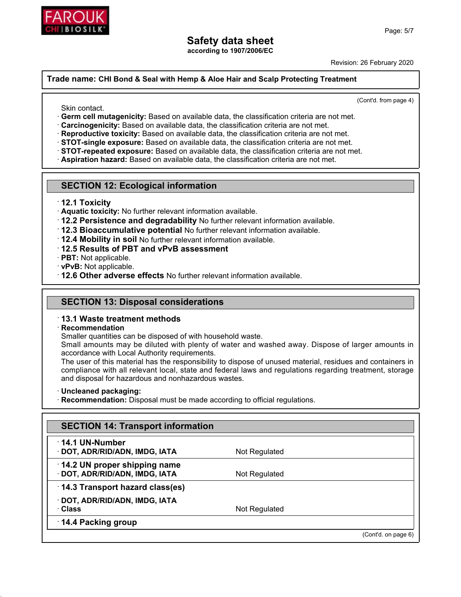

**according to 1907/2006/EC**

Revision: 26 February 2020

#### **Trade name: CHI Bond & Seal with Hemp & Aloe Hair and Scalp Protecting Treatment**

Skin contact.

(Cont'd. from page 4)

- ꞏ **Germ cell mutagenicity:** Based on available data, the classification criteria are not met.
- ꞏ **Carcinogenicity:** Based on available data, the classification criteria are not met.
- ꞏ **Reproductive toxicity:** Based on available data, the classification criteria are not met.
- ꞏ **STOT-single exposure:** Based on available data, the classification criteria are not met.
- ꞏ **STOT-repeated exposure:** Based on available data, the classification criteria are not met.
- ꞏ **Aspiration hazard:** Based on available data, the classification criteria are not met.

### **SECTION 12: Ecological information**

- ꞏ **12.1 Toxicity**
- ꞏ **Aquatic toxicity:** No further relevant information available.
- ꞏ **12.2 Persistence and degradability** No further relevant information available.
- ꞏ **12.3 Bioaccumulative potential** No further relevant information available.
- ꞏ **12.4 Mobility in soil** No further relevant information available.
- ꞏ **12.5 Results of PBT and vPvB assessment**
- ꞏ **PBT:** Not applicable.
- ꞏ **vPvB:** Not applicable.
- ꞏ **12.6 Other adverse effects** No further relevant information available.

## **SECTION 13: Disposal considerations**

#### ꞏ **13.1 Waste treatment methods**

#### ꞏ **Recommendation**

Smaller quantities can be disposed of with household waste.

Small amounts may be diluted with plenty of water and washed away. Dispose of larger amounts in accordance with Local Authority requirements.

The user of this material has the responsibility to dispose of unused material, residues and containers in compliance with all relevant local, state and federal laws and regulations regarding treatment, storage and disposal for hazardous and nonhazardous wastes.

#### ꞏ **Uncleaned packaging:**

**Recommendation:** Disposal must be made according to official regulations.

| Not Regulated |
|---------------|
|               |
| Not Regulated |
|               |
|               |
| Not Regulated |
|               |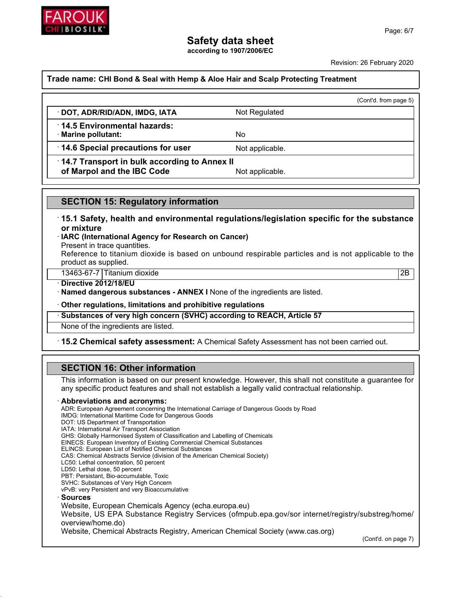

**according to 1907/2006/EC**

Revision: 26 February 2020

#### **Trade name: CHI Bond & Seal with Hemp & Aloe Hair and Scalp Protecting Treatment**

| Reference to titanium dioxide is based on unbound respirable particles and is not applicable to the                                                                                                               |
|-------------------------------------------------------------------------------------------------------------------------------------------------------------------------------------------------------------------|
|                                                                                                                                                                                                                   |
|                                                                                                                                                                                                                   |
| 2B                                                                                                                                                                                                                |
|                                                                                                                                                                                                                   |
|                                                                                                                                                                                                                   |
|                                                                                                                                                                                                                   |
|                                                                                                                                                                                                                   |
| 15.2 Chemical safety assessment: A Chemical Safety Assessment has not been carried out.                                                                                                                           |
|                                                                                                                                                                                                                   |
| · Named dangerous substances - ANNEX I None of the ingredients are listed.<br>Other regulations, limitations and prohibitive regulations<br>Substances of very high concern (SVHC) according to REACH, Article 57 |

This information is based on our present knowledge. However, this shall not constitute a guarantee for any specific product features and shall not establish a legally valid contractual relationship.

#### ꞏ **Abbreviations and acronyms:**

ADR: European Agreement concerning the International Carriage of Dangerous Goods by Road IMDG: International Maritime Code for Dangerous Goods DOT: US Department of Transportation IATA: International Air Transport Association GHS: Globally Harmonised System of Classification and Labelling of Chemicals EINECS: European Inventory of Existing Commercial Chemical Substances ELINCS: European List of Notified Chemical Substances CAS: Chemical Abstracts Service (division of the American Chemical Society) LC50: Lethal concentration, 50 percent LD50: Lethal dose, 50 percent PBT: Persistant, Bio-accumulable, Toxic SVHC: Substances of Very High Concern vPvB: very Persistent and very Bioaccumulative ꞏ **Sources** Website, European Chemicals Agency (echa.europa.eu) Website, US EPA Substance Registry Services (ofmpub.epa.gov/sor internet/registry/substreg/home/ overview/home.do) Website, Chemical Abstracts Registry, American Chemical Society (www.cas.org)

(Cont'd. on page 7)